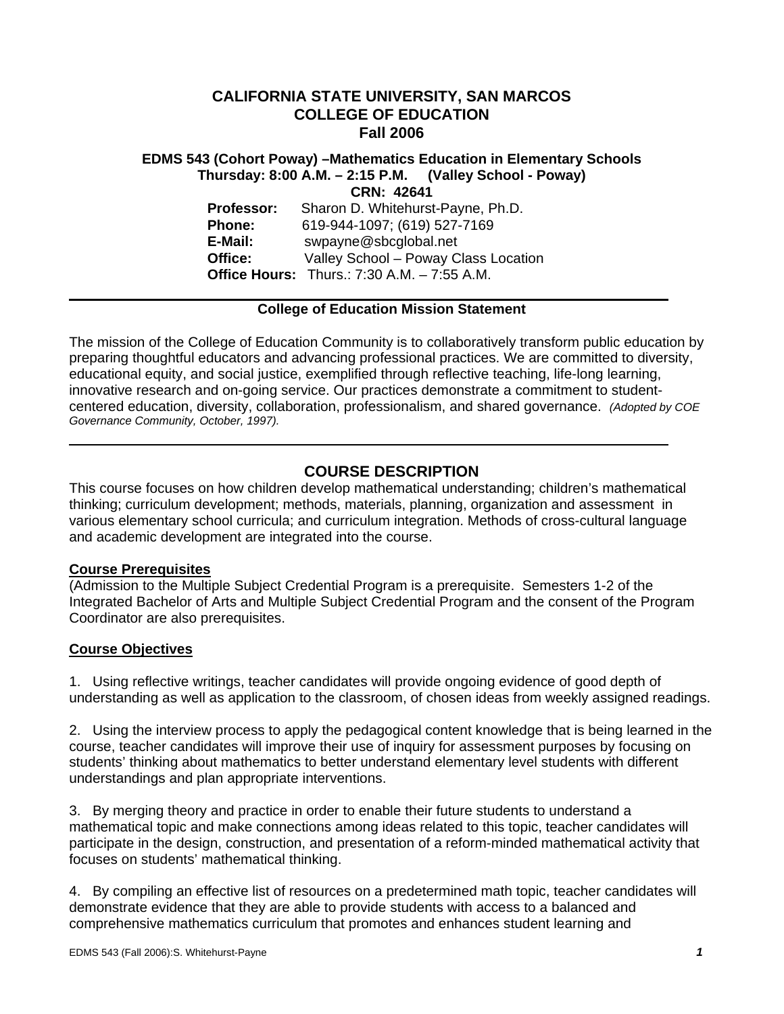# **CALIFORNIA STATE UNIVERSITY, SAN MARCOS COLLEGE OF EDUCATION Fall 2006**

# **EDMS 543 (Cohort Poway) –Mathematics Education in Elementary Schools Thursday: 8:00 A.M. – 2:15 P.M. (Valley School - Poway) CRN: 42641 Professor:** Sharon D. Whitehurst-Payne, Ph.D. **Phone:** 619-944-1097; (619) 527-7169 **E-Mail:** swpayne@sbcglobal.net **Office:** Valley School – Poway Class Location **Office Hours:** Thurs.: 7:30 A.M. – 7:55 A.M.

## **College of Education Mission Statement**

The mission of the College of Education Community is to collaboratively transform public education by preparing thoughtful educators and advancing professional practices. We are committed to diversity, educational equity, and social justice, exemplified through reflective teaching, life-long learning, innovative research and on-going service. Our practices demonstrate a commitment to studentcentered education, diversity, collaboration, professionalism, and shared governance. *(Adopted by COE Governance Community, October, 1997).* 

# **COURSE DESCRIPTION**

This course focuses on how children develop mathematical understanding; children's mathematical thinking; curriculum development; methods, materials, planning, organization and assessment in various elementary school curricula; and curriculum integration. Methods of cross-cultural language and academic development are integrated into the course.

### **Course Prerequisites**

(Admission to the Multiple Subject Credential Program is a prerequisite. Semesters 1-2 of the Integrated Bachelor of Arts and Multiple Subject Credential Program and the consent of the Program Coordinator are also prerequisites.

## **Course Objectives**

1. Using reflective writings, teacher candidates will provide ongoing evidence of good depth of understanding as well as application to the classroom, of chosen ideas from weekly assigned readings.

2. Using the interview process to apply the pedagogical content knowledge that is being learned in the course, teacher candidates will improve their use of inquiry for assessment purposes by focusing on students' thinking about mathematics to better understand elementary level students with different understandings and plan appropriate interventions.

3. By merging theory and practice in order to enable their future students to understand a mathematical topic and make connections among ideas related to this topic, teacher candidates will participate in the design, construction, and presentation of a reform-minded mathematical activity that focuses on students' mathematical thinking.

4. By compiling an effective list of resources on a predetermined math topic, teacher candidates will demonstrate evidence that they are able to provide students with access to a balanced and comprehensive mathematics curriculum that promotes and enhances student learning and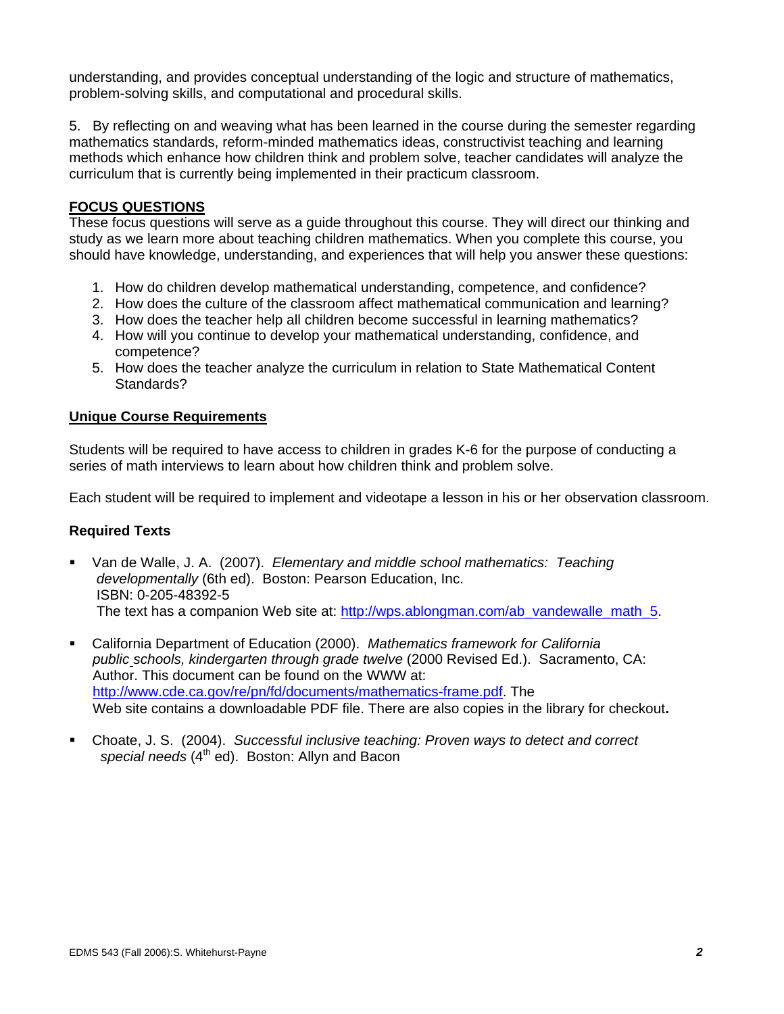understanding, and provides conceptual understanding of the logic and structure of mathematics, problem-solving skills, and computational and procedural skills.

5. By reflecting on and weaving what has been learned in the course during the semester regarding mathematics standards, reform-minded mathematics ideas, constructivist teaching and learning methods which enhance how children think and problem solve, teacher candidates will analyze the curriculum that is currently being implemented in their practicum classroom.

## **FOCUS QUESTIONS**

These focus questions will serve as a guide throughout this course. They will direct our thinking and study as we learn more about teaching children mathematics. When you complete this course, you should have knowledge, understanding, and experiences that will help you answer these questions:

- 1. How do children develop mathematical understanding, competence, and confidence?
- 2. How does the culture of the classroom affect mathematical communication and learning?
- 3. How does the teacher help all children become successful in learning mathematics?
- 4. How will you continue to develop your mathematical understanding, confidence, and competence?
- 5. How does the teacher analyze the curriculum in relation to State Mathematical Content Standards?

## **Unique Course Requirements**

Students will be required to have access to children in grades K-6 for the purpose of conducting a series of math interviews to learn about how children think and problem solve.

Each student will be required to implement and videotape a lesson in his or her observation classroom.

## **Required Texts**

- Van de Walle, J. A. (2007). *Elementary and middle school mathematics: Teaching developmentally* (6th ed). Boston: Pearson Education, Inc. ISBN: 0-205-48392-5 The text has a companion Web site at: http://wps.ablongman.com/ab\_vandewalle\_math\_5.
- California Department of Education (2000). *Mathematics framework for California public schools, kindergarten through grade twelve* (2000 Revised Ed.). Sacramento, CA: Author. This document can be found on the WWW at: http://www.cde.ca.gov/re/pn/fd/documents/mathematics-frame.pdf. The Web site contains a downloadable PDF file. There are also copies in the library for checkout**.**
- Choate, J. S. (2004). *Successful inclusive teaching: Proven ways to detect and correct*  special needs (4<sup>th</sup> ed). Boston: Allyn and Bacon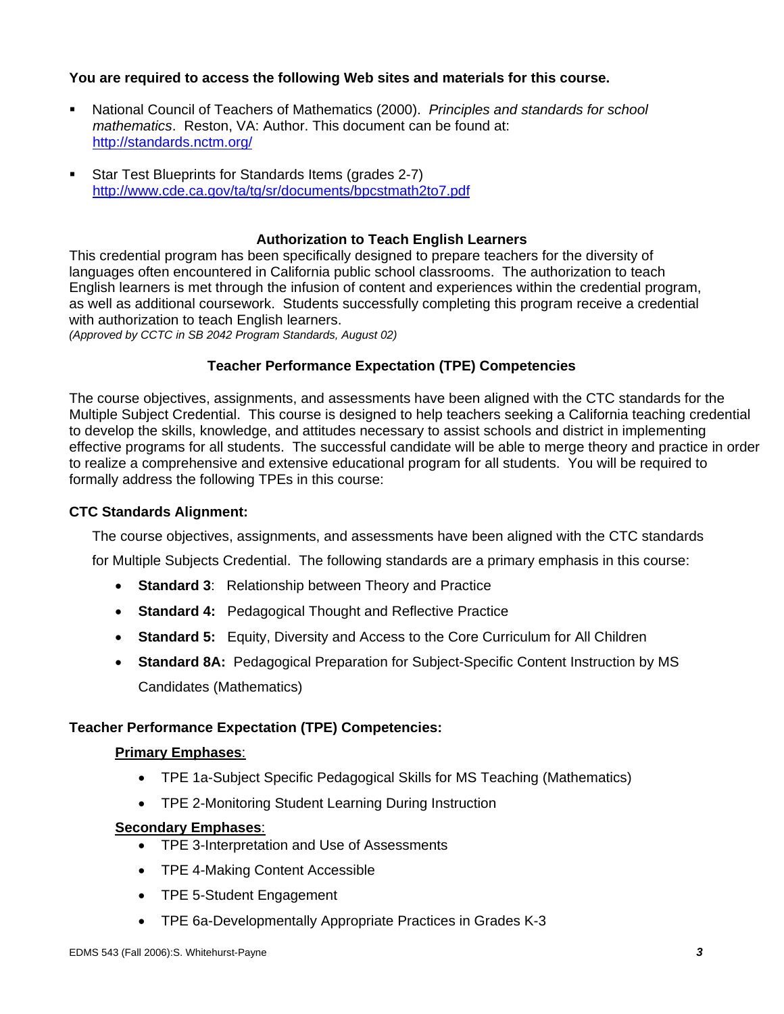# **You are required to access the following Web sites and materials for this course.**

- National Council of Teachers of Mathematics (2000). *Principles and standards for school mathematics*. Reston, VA: Author. This document can be found at: http://standards.nctm.org/
- Star Test Blueprints for Standards Items (grades 2-7) http://www.cde.ca.gov/ta/tg/sr/documents/bpcstmath2to7.pdf

# **Authorization to Teach English Learners**

This credential program has been specifically designed to prepare teachers for the diversity of languages often encountered in California public school classrooms. The authorization to teach English learners is met through the infusion of content and experiences within the credential program, as well as additional coursework. Students successfully completing this program receive a credential with authorization to teach English learners.

*(Approved by CCTC in SB 2042 Program Standards, August 02)*

## **Teacher Performance Expectation (TPE) Competencies**

The course objectives, assignments, and assessments have been aligned with the CTC standards for the Multiple Subject Credential. This course is designed to help teachers seeking a California teaching credential to develop the skills, knowledge, and attitudes necessary to assist schools and district in implementing effective programs for all students. The successful candidate will be able to merge theory and practice in order to realize a comprehensive and extensive educational program for all students. You will be required to formally address the following TPEs in this course:

## **CTC Standards Alignment:**

The course objectives, assignments, and assessments have been aligned with the CTC standards

for Multiple Subjects Credential. The following standards are a primary emphasis in this course:

- **Standard 3: Relationship between Theory and Practice**
- **Standard 4:** Pedagogical Thought and Reflective Practice
- **Standard 5:** Equity, Diversity and Access to the Core Curriculum for All Children
- **Standard 8A:** Pedagogical Preparation for Subject-Specific Content Instruction by MS Candidates (Mathematics)

## **Teacher Performance Expectation (TPE) Competencies:**

## **Primary Emphases**:

- TPE 1a-Subject Specific Pedagogical Skills for MS Teaching (Mathematics)
- TPE 2-Monitoring Student Learning During Instruction

## **Secondary Emphases**:

- TPE 3-Interpretation and Use of Assessments
- TPE 4-Making Content Accessible
- TPE 5-Student Engagement
- TPE 6a-Developmentally Appropriate Practices in Grades K-3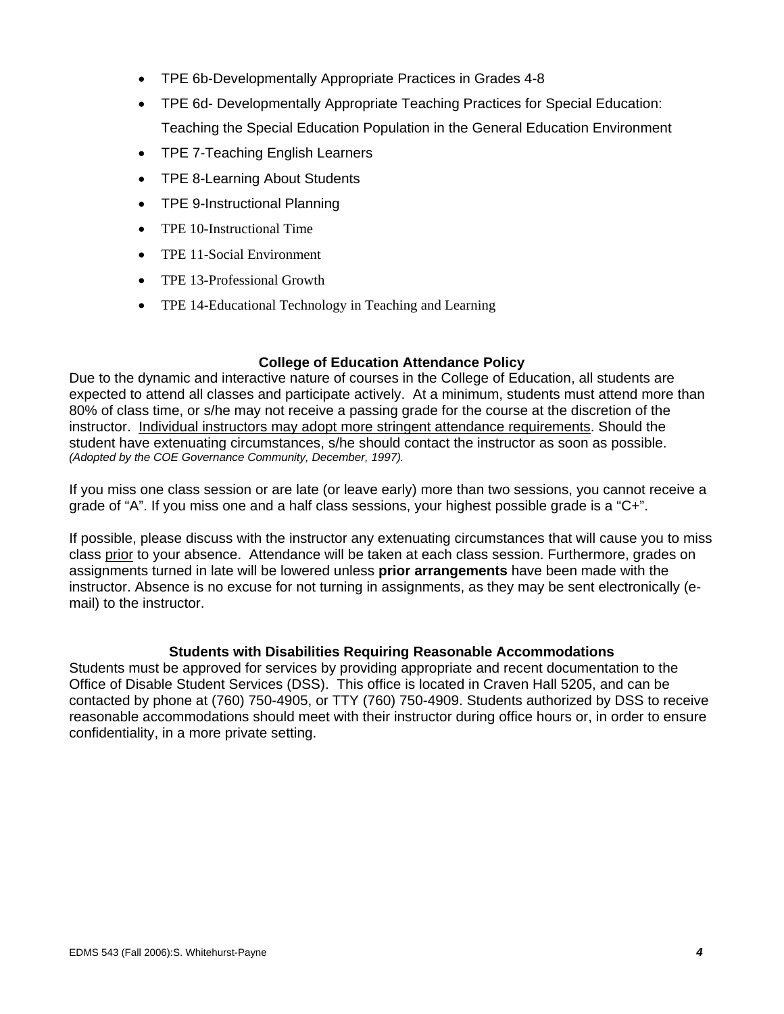- TPE 6b-Developmentally Appropriate Practices in Grades 4-8
- TPE 6d- Developmentally Appropriate Teaching Practices for Special Education: Teaching the Special Education Population in the General Education Environment
- TPE 7-Teaching English Learners
- TPE 8-Learning About Students
- TPE 9-Instructional Planning
- TPE 10-Instructional Time
- TPE 11-Social Environment
- TPE 13-Professional Growth
- TPE 14-Educational Technology in Teaching and Learning

## **College of Education Attendance Policy**

Due to the dynamic and interactive nature of courses in the College of Education, all students are expected to attend all classes and participate actively. At a minimum, students must attend more than 80% of class time, or s/he may not receive a passing grade for the course at the discretion of the instructor. Individual instructors may adopt more stringent attendance requirements. Should the student have extenuating circumstances, s/he should contact the instructor as soon as possible. *(Adopted by the COE Governance Community, December, 1997).*

If you miss one class session or are late (or leave early) more than two sessions, you cannot receive a grade of "A". If you miss one and a half class sessions, your highest possible grade is a "C+".

If possible, please discuss with the instructor any extenuating circumstances that will cause you to miss class prior to your absence. Attendance will be taken at each class session. Furthermore, grades on assignments turned in late will be lowered unless **prior arrangements** have been made with the instructor. Absence is no excuse for not turning in assignments, as they may be sent electronically (email) to the instructor.

## **Students with Disabilities Requiring Reasonable Accommodations**

Students must be approved for services by providing appropriate and recent documentation to the Office of Disable Student Services (DSS). This office is located in Craven Hall 5205, and can be contacted by phone at (760) 750-4905, or TTY (760) 750-4909. Students authorized by DSS to receive reasonable accommodations should meet with their instructor during office hours or, in order to ensure confidentiality, in a more private setting.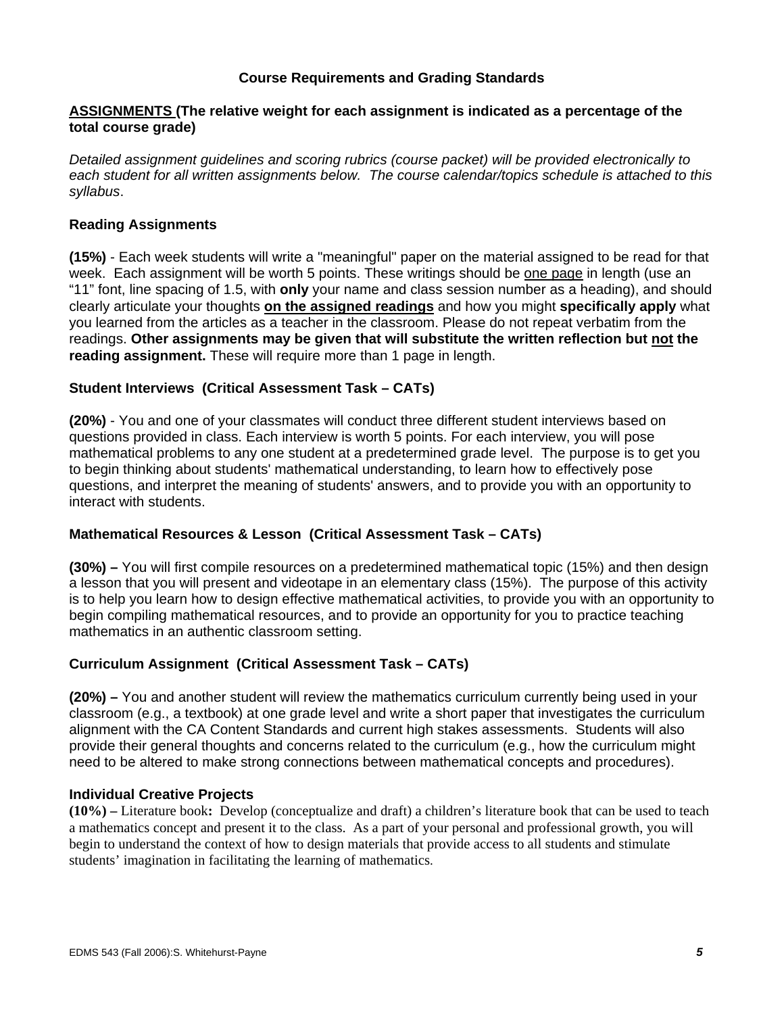# **Course Requirements and Grading Standards**

## **ASSIGNMENTS (The relative weight for each assignment is indicated as a percentage of the total course grade)**

*Detailed assignment guidelines and scoring rubrics (course packet) will be provided electronically to each student for all written assignments below. The course calendar/topics schedule is attached to this syllabus*.

## **Reading Assignments**

**(15%)** - Each week students will write a "meaningful" paper on the material assigned to be read for that week. Each assignment will be worth 5 points. These writings should be one page in length (use an "11" font, line spacing of 1.5, with **only** your name and class session number as a heading), and should clearly articulate your thoughts **on the assigned readings** and how you might **specifically apply** what you learned from the articles as a teacher in the classroom. Please do not repeat verbatim from the readings. **Other assignments may be given that will substitute the written reflection but not the reading assignment.** These will require more than 1 page in length.

## **Student Interviews (Critical Assessment Task – CATs)**

**(20%)** - You and one of your classmates will conduct three different student interviews based on questions provided in class. Each interview is worth 5 points. For each interview, you will pose mathematical problems to any one student at a predetermined grade level. The purpose is to get you to begin thinking about students' mathematical understanding, to learn how to effectively pose questions, and interpret the meaning of students' answers, and to provide you with an opportunity to interact with students.

## **Mathematical Resources & Lesson (Critical Assessment Task – CATs)**

**(30%) –** You will first compile resources on a predetermined mathematical topic (15%) and then design a lesson that you will present and videotape in an elementary class (15%). The purpose of this activity is to help you learn how to design effective mathematical activities, to provide you with an opportunity to begin compiling mathematical resources, and to provide an opportunity for you to practice teaching mathematics in an authentic classroom setting.

## **Curriculum Assignment (Critical Assessment Task – CATs)**

**(20%) –** You and another student will review the mathematics curriculum currently being used in your classroom (e.g., a textbook) at one grade level and write a short paper that investigates the curriculum alignment with the CA Content Standards and current high stakes assessments. Students will also provide their general thoughts and concerns related to the curriculum (e.g., how the curriculum might need to be altered to make strong connections between mathematical concepts and procedures).

### **Individual Creative Projects**

**(10%) –** Literature book**:** Develop (conceptualize and draft) a children's literature book that can be used to teach a mathematics concept and present it to the class. As a part of your personal and professional growth, you will begin to understand the context of how to design materials that provide access to all students and stimulate students' imagination in facilitating the learning of mathematics.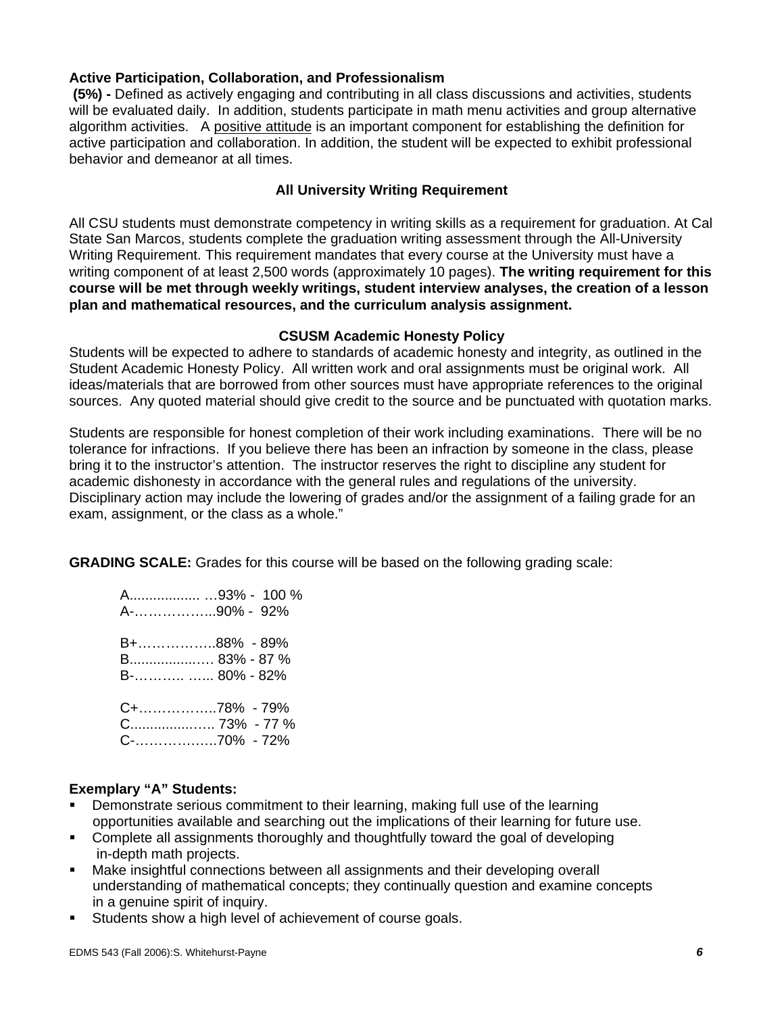# **Active Participation, Collaboration, and Professionalism**

 **(5%) -** Defined as actively engaging and contributing in all class discussions and activities, students will be evaluated daily. In addition, students participate in math menu activities and group alternative algorithm activities. A positive attitude is an important component for establishing the definition for active participation and collaboration. In addition, the student will be expected to exhibit professional behavior and demeanor at all times.

# **All University Writing Requirement**

All CSU students must demonstrate competency in writing skills as a requirement for graduation. At Cal State San Marcos, students complete the graduation writing assessment through the All-University Writing Requirement. This requirement mandates that every course at the University must have a writing component of at least 2,500 words (approximately 10 pages). **The writing requirement for this course will be met through weekly writings, student interview analyses, the creation of a lesson plan and mathematical resources, and the curriculum analysis assignment.**

## **CSUSM Academic Honesty Policy**

Students will be expected to adhere to standards of academic honesty and integrity, as outlined in the Student Academic Honesty Policy. All written work and oral assignments must be original work. All ideas/materials that are borrowed from other sources must have appropriate references to the original sources. Any quoted material should give credit to the source and be punctuated with quotation marks.

Students are responsible for honest completion of their work including examinations. There will be no tolerance for infractions. If you believe there has been an infraction by someone in the class, please bring it to the instructor's attention. The instructor reserves the right to discipline any student for academic dishonesty in accordance with the general rules and regulations of the university. Disciplinary action may include the lowering of grades and/or the assignment of a failing grade for an exam, assignment, or the class as a whole."

**GRADING SCALE:** Grades for this course will be based on the following grading scale:

 A.................. …93% - 100 % A-……………...90% - 92% B+……………..88% - 89% B.................…. 83% - 87 % B-……….. …... 80% - 82% C+……………..78% - 79% C................….. 73% - 77 % C-………….…..70% - 72%

## **Exemplary "A" Students:**

- Demonstrate serious commitment to their learning, making full use of the learning opportunities available and searching out the implications of their learning for future use.
- Complete all assignments thoroughly and thoughtfully toward the goal of developing in-depth math projects.
- Make insightful connections between all assignments and their developing overall understanding of mathematical concepts; they continually question and examine concepts in a genuine spirit of inquiry.
- Students show a high level of achievement of course goals.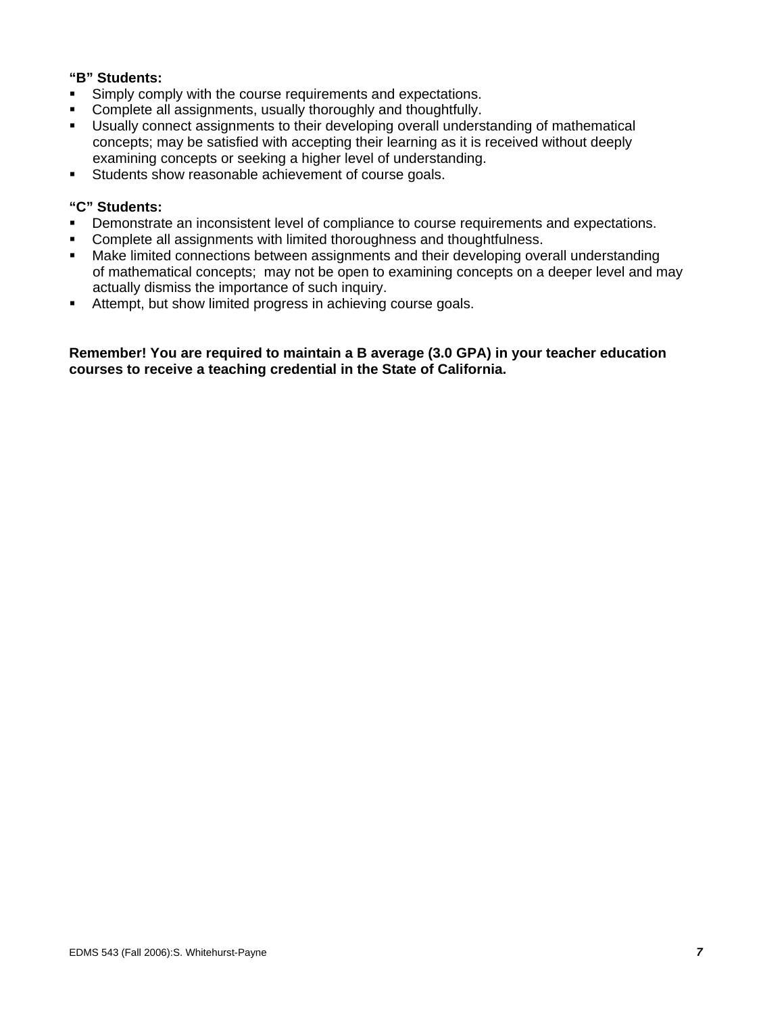# **"B" Students:**

- **Simply comply with the course requirements and expectations.**
- **Complete all assignments, usually thoroughly and thoughtfully.**
- Usually connect assignments to their developing overall understanding of mathematical concepts; may be satisfied with accepting their learning as it is received without deeply examining concepts or seeking a higher level of understanding.
- **Students show reasonable achievement of course goals.**

## **"C" Students:**

- Demonstrate an inconsistent level of compliance to course requirements and expectations.
- Complete all assignments with limited thoroughness and thoughtfulness.
- Make limited connections between assignments and their developing overall understanding of mathematical concepts; may not be open to examining concepts on a deeper level and may actually dismiss the importance of such inquiry.
- Attempt, but show limited progress in achieving course goals.

**Remember! You are required to maintain a B average (3.0 GPA) in your teacher education courses to receive a teaching credential in the State of California.**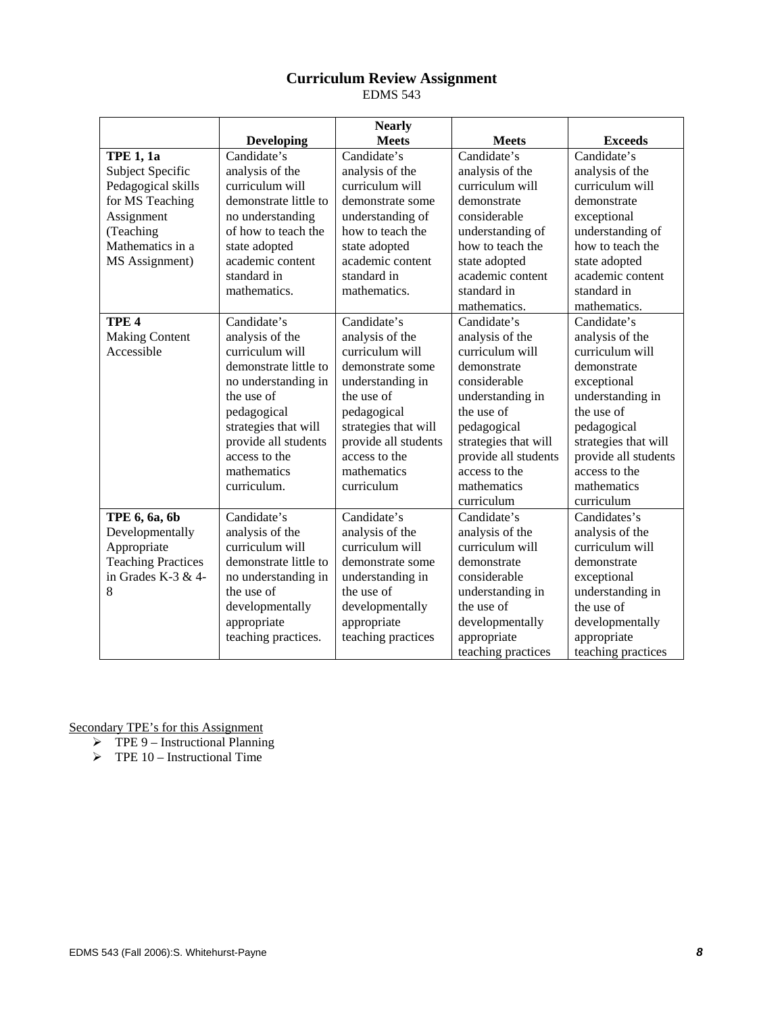# **Curriculum Review Assignment**

EDMS 543

|                           |                       | <b>Nearly</b>        |                      |                      |
|---------------------------|-----------------------|----------------------|----------------------|----------------------|
|                           | <b>Developing</b>     | <b>Meets</b>         | <b>Meets</b>         | <b>Exceeds</b>       |
| <b>TPE 1, 1a</b>          | Candidate's           | Candidate's          | Candidate's          | Candidate's          |
| Subject Specific          | analysis of the       | analysis of the      | analysis of the      | analysis of the      |
| Pedagogical skills        | curriculum will       | curriculum will      | curriculum will      | curriculum will      |
| for MS Teaching           | demonstrate little to | demonstrate some     | demonstrate          | demonstrate          |
| Assignment                | no understanding      | understanding of     | considerable         | exceptional          |
| (Teaching                 | of how to teach the   | how to teach the     | understanding of     | understanding of     |
| Mathematics in a          | state adopted         | state adopted        | how to teach the     | how to teach the     |
| MS Assignment)            | academic content      | academic content     | state adopted        | state adopted        |
|                           | standard in           | standard in          | academic content     | academic content     |
|                           | mathematics.          | mathematics.         | standard in          | standard in          |
|                           |                       |                      | mathematics.         | mathematics.         |
| TPE <sub>4</sub>          | Candidate's           | Candidate's          | Candidate's          | Candidate's          |
| <b>Making Content</b>     | analysis of the       | analysis of the      | analysis of the      | analysis of the      |
| Accessible                | curriculum will       | curriculum will      | curriculum will      | curriculum will      |
|                           | demonstrate little to | demonstrate some     | demonstrate          | demonstrate          |
|                           | no understanding in   | understanding in     | considerable         | exceptional          |
|                           | the use of            | the use of           | understanding in     | understanding in     |
|                           | pedagogical           | pedagogical          | the use of           | the use of           |
|                           | strategies that will  | strategies that will | pedagogical          | pedagogical          |
|                           | provide all students  | provide all students | strategies that will | strategies that will |
|                           | access to the         | access to the        | provide all students | provide all students |
|                           | mathematics           | mathematics          | access to the        | access to the        |
|                           | curriculum.           | curriculum           | mathematics          | mathematics          |
|                           |                       |                      | curriculum           | curriculum           |
| TPE 6, 6a, 6b             | Candidate's           | Candidate's          | Candidate's          | Candidates's         |
| Developmentally           | analysis of the       | analysis of the      | analysis of the      | analysis of the      |
| Appropriate               | curriculum will       | curriculum will      | curriculum will      | curriculum will      |
| <b>Teaching Practices</b> | demonstrate little to | demonstrate some     | demonstrate          | demonstrate          |
| in Grades K-3 $&$ 4-      | no understanding in   | understanding in     | considerable         | exceptional          |
| 8                         | the use of            | the use of           | understanding in     | understanding in     |
|                           | developmentally       | developmentally      | the use of           | the use of           |
|                           | appropriate           | appropriate          | developmentally      | developmentally      |
|                           | teaching practices.   | teaching practices   | appropriate          | appropriate          |
|                           |                       |                      | teaching practices   | teaching practices   |

Secondary TPE's for this Assignment

- $\triangleright$  TPE 9 Instructional Planning
- $\triangleright$  TPE 10 Instructional Time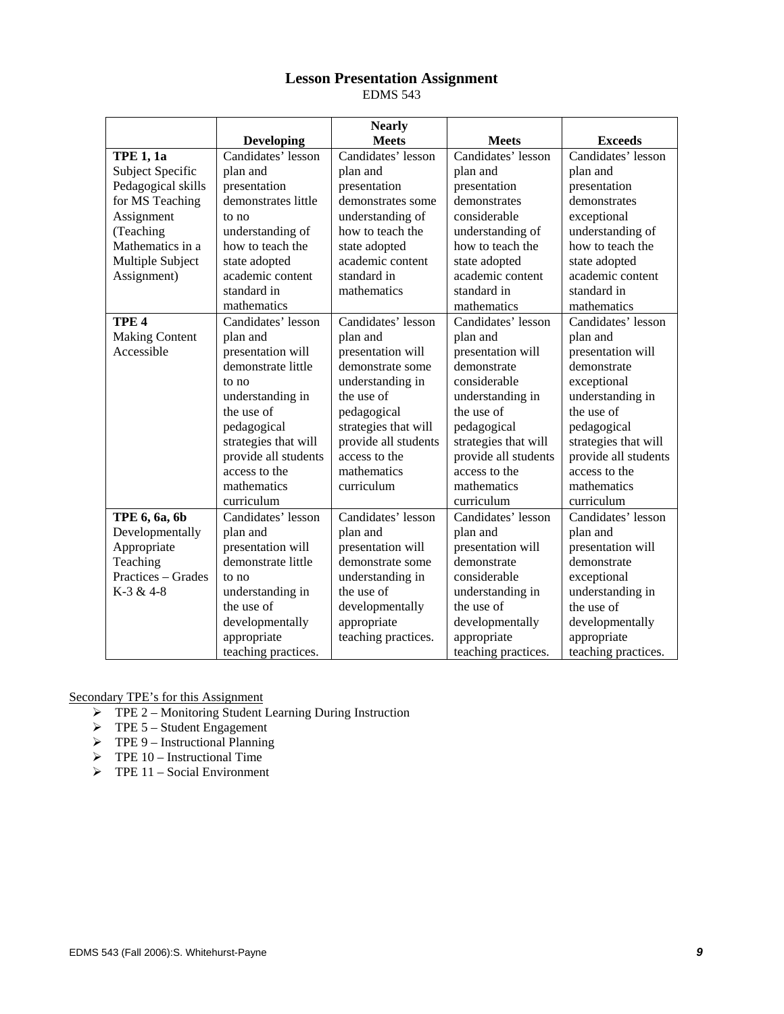# **Lesson Presentation Assignment**

EDMS 543

|                       |                      | <b>Nearly</b>        |                      |                      |
|-----------------------|----------------------|----------------------|----------------------|----------------------|
|                       | <b>Developing</b>    | <b>Meets</b>         | <b>Meets</b>         | <b>Exceeds</b>       |
| <b>TPE 1, 1a</b>      | Candidates' lesson   | Candidates' lesson   | Candidates' lesson   | Candidates' lesson   |
| Subject Specific      | plan and             | plan and             | plan and             | plan and             |
| Pedagogical skills    | presentation         | presentation         | presentation         | presentation         |
| for MS Teaching       | demonstrates little  | demonstrates some    | demonstrates         | demonstrates         |
| Assignment            | to no                | understanding of     | considerable         | exceptional          |
| (Teaching             | understanding of     | how to teach the     | understanding of     | understanding of     |
| Mathematics in a      | how to teach the     | state adopted        | how to teach the     | how to teach the     |
| Multiple Subject      | state adopted        | academic content     | state adopted        | state adopted        |
| Assignment)           | academic content     | standard in          | academic content     | academic content     |
|                       | standard in          | mathematics          | standard in          | standard in          |
|                       | mathematics          |                      | mathematics          | mathematics          |
| TPE <sub>4</sub>      | Candidates' lesson   | Candidates' lesson   | Candidates' lesson   | Candidates' lesson   |
| <b>Making Content</b> | plan and             | plan and             | plan and             | plan and             |
| Accessible            | presentation will    | presentation will    | presentation will    | presentation will    |
|                       | demonstrate little   | demonstrate some     | demonstrate          | demonstrate          |
|                       | to no                | understanding in     | considerable         | exceptional          |
|                       | understanding in     | the use of           | understanding in     | understanding in     |
|                       | the use of           | pedagogical          | the use of           | the use of           |
|                       | pedagogical          | strategies that will | pedagogical          | pedagogical          |
|                       | strategies that will | provide all students | strategies that will | strategies that will |
|                       | provide all students | access to the        | provide all students | provide all students |
|                       | access to the        | mathematics          | access to the        | access to the        |
|                       | mathematics          | curriculum           | mathematics          | mathematics          |
|                       | curriculum           |                      | curriculum           | curriculum           |
| TPE 6, 6a, 6b         | Candidates' lesson   | Candidates' lesson   | Candidates' lesson   | Candidates' lesson   |
| Developmentally       | plan and             | plan and             | plan and             | plan and             |
| Appropriate           | presentation will    | presentation will    | presentation will    | presentation will    |
| Teaching              | demonstrate little   | demonstrate some     | demonstrate          | demonstrate          |
| Practices – Grades    | to no                | understanding in     | considerable         | exceptional          |
| K-3 & 4-8             | understanding in     | the use of           | understanding in     | understanding in     |
|                       | the use of           | developmentally      | the use of           | the use of           |
|                       | developmentally      | appropriate          | developmentally      | developmentally      |
|                       | appropriate          | teaching practices.  | appropriate          | appropriate          |
|                       | teaching practices.  |                      | teaching practices.  | teaching practices.  |

Secondary TPE's for this Assignment

- $\triangleright$  TPE 2 Monitoring Student Learning During Instruction
- $\triangleright$  TPE 5 Student Engagement
- $\triangleright$  TPE 9 Instructional Planning
- $\triangleright$  TPE 10 Instructional Time
- $\triangleright$  TPE 11 Social Environment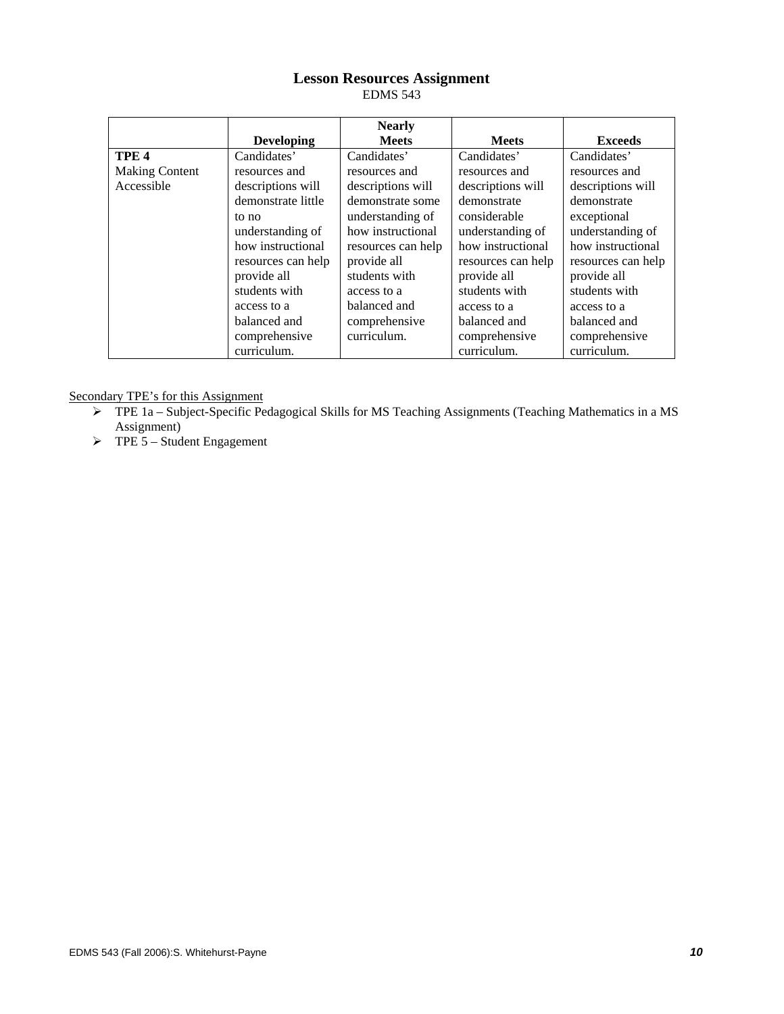# **Lesson Resources Assignment**

EDMS 543

|                       |                    | <b>Nearly</b>      |                    |                    |
|-----------------------|--------------------|--------------------|--------------------|--------------------|
|                       | <b>Developing</b>  | <b>Meets</b>       | <b>Meets</b>       | <b>Exceeds</b>     |
| TPE <sub>4</sub>      | Candidates'        | Candidates'        | Candidates'        | Candidates'        |
| <b>Making Content</b> | resources and      | resources and      | resources and      | resources and      |
| Accessible            | descriptions will  | descriptions will  | descriptions will  | descriptions will  |
|                       | demonstrate little | demonstrate some   | demonstrate        | demonstrate        |
|                       | to no              | understanding of   | considerable       | exceptional        |
|                       | understanding of   | how instructional  | understanding of   | understanding of   |
|                       | how instructional  | resources can help | how instructional  | how instructional  |
|                       | resources can help | provide all        | resources can help | resources can help |
|                       | provide all        | students with      | provide all        | provide all        |
|                       | students with      | access to a        | students with      | students with      |
|                       | access to a        | balanced and       | access to a        | access to a        |
|                       | balanced and       | comprehensive      | balanced and       | balanced and       |
|                       | comprehensive      | curriculum.        | comprehensive      | comprehensive      |
|                       | curriculum.        |                    | curriculum.        | curriculum.        |

Secondary TPE's for this Assignment

- ¾ TPE 1a Subject-Specific Pedagogical Skills for MS Teaching Assignments (Teaching Mathematics in a MS Assignment)
- $\triangleright$  TPE 5 Student Engagement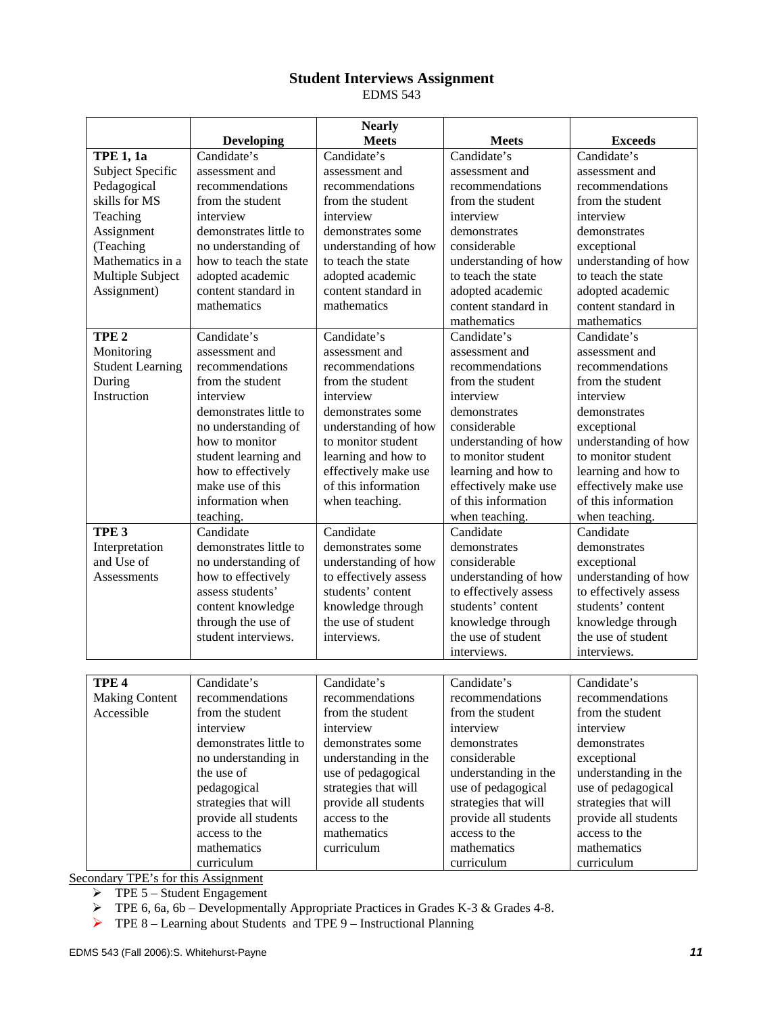# **Student Interviews Assignment**

EDMS 543

|                         |                        | <b>Nearly</b>         |                                  |                       |
|-------------------------|------------------------|-----------------------|----------------------------------|-----------------------|
|                         | <b>Developing</b>      | <b>Meets</b>          | <b>Meets</b>                     | <b>Exceeds</b>        |
| <b>TPE 1, 1a</b>        | Candidate's            | Candidate's           | Candidate's                      | Candidate's           |
| Subject Specific        | assessment and         | assessment and        | assessment and<br>assessment and |                       |
| Pedagogical             | recommendations        | recommendations       | recommendations                  | recommendations       |
| skills for MS           | from the student       | from the student      | from the student                 | from the student      |
| Teaching                | interview              | interview             | interview                        | interview             |
| Assignment              | demonstrates little to | demonstrates some     | demonstrates                     | demonstrates          |
| (Teaching               | no understanding of    | understanding of how  | considerable                     | exceptional           |
| Mathematics in a        | how to teach the state | to teach the state    | understanding of how             | understanding of how  |
| Multiple Subject        | adopted academic       | adopted academic      | to teach the state               | to teach the state    |
| Assignment)             | content standard in    | content standard in   | adopted academic                 | adopted academic      |
|                         | mathematics            | mathematics           | content standard in              | content standard in   |
|                         |                        |                       | mathematics                      | mathematics           |
| TPE <sub>2</sub>        | Candidate's            | Candidate's           | Candidate's                      | Candidate's           |
| Monitoring              | assessment and         | assessment and        | assessment and                   | assessment and        |
| <b>Student Learning</b> | recommendations        | recommendations       | recommendations                  | recommendations       |
| During                  | from the student       | from the student      | from the student                 | from the student      |
| Instruction             | interview              | interview             | interview                        | interview             |
|                         | demonstrates little to | demonstrates some     | demonstrates                     | demonstrates          |
|                         | no understanding of    | understanding of how  | considerable                     | exceptional           |
|                         | how to monitor         | to monitor student    | understanding of how             | understanding of how  |
|                         | student learning and   | learning and how to   | to monitor student               | to monitor student    |
|                         | how to effectively     | effectively make use  | learning and how to              | learning and how to   |
|                         | make use of this       | of this information   | effectively make use             | effectively make use  |
|                         | information when       | when teaching.        | of this information              | of this information   |
|                         | teaching.              |                       | when teaching.                   | when teaching.        |
| TPE <sub>3</sub>        | Candidate              | Candidate             | Candidate                        | Candidate             |
| Interpretation          | demonstrates little to | demonstrates some     | demonstrates                     | demonstrates          |
| and Use of              | no understanding of    | understanding of how  | considerable                     | exceptional           |
| <b>Assessments</b>      | how to effectively     | to effectively assess | understanding of how             | understanding of how  |
|                         | assess students'       | students' content     | to effectively assess            | to effectively assess |
|                         | content knowledge      | knowledge through     | students' content                | students' content     |
|                         | through the use of     | the use of student    | knowledge through                | knowledge through     |
|                         | student interviews.    | interviews.           | the use of student               | the use of student    |
|                         |                        |                       | interviews.                      | interviews.           |
| TPE <sub>4</sub>        | Candidate's            | Candidate's           | Candidate's                      | Candidate's           |
| <b>Making Content</b>   | recommendations        | recommendations       | recommendations                  | recommendations       |
| Accessible              | from the student       | from the student      | from the student                 | from the student      |
|                         | interview              | interview             | interview                        | interview             |
|                         | demonstrates little to | demonstrates some     | demonstrates                     | demonstrates          |
|                         | no understanding in    | understanding in the  | considerable                     | exceptional           |
|                         | the use of             | use of pedagogical    | understanding in the             | understanding in the  |
|                         | pedagogical            | strategies that will  | use of pedagogical               | use of pedagogical    |
|                         | strategies that will   | provide all students  | strategies that will             | strategies that will  |
|                         | provide all students   | access to the         | provide all students             | provide all students  |
|                         | access to the          | mathematics           | access to the                    | access to the         |
|                         | mathematics            | curriculum            | mathematics                      | mathematics           |
|                         | curriculum             |                       | curriculum                       | curriculum            |
|                         |                        |                       |                                  |                       |

Secondary TPE's for this Assignment

 $\triangleright$  TPE 5 – Student Engagement

 $\triangleright$  TPE 6, 6a, 6b – Developmentally Appropriate Practices in Grades K-3 & Grades 4-8.

 $\triangleright$  TPE 8 – Learning about Students and TPE 9 – Instructional Planning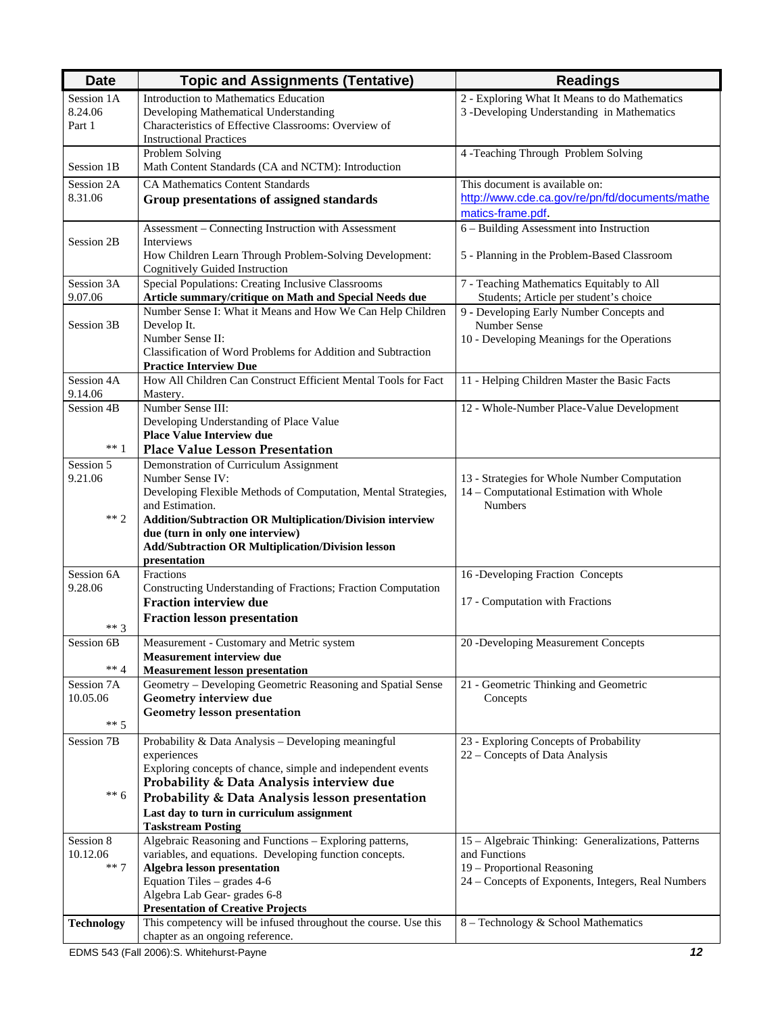| <b>Date</b>           | <b>Topic and Assignments (Tentative)</b>                                                                             | <b>Readings</b>                                                                             |
|-----------------------|----------------------------------------------------------------------------------------------------------------------|---------------------------------------------------------------------------------------------|
| Session 1A<br>8.24.06 | Introduction to Mathematics Education<br>Developing Mathematical Understanding                                       | 2 - Exploring What It Means to do Mathematics<br>3 -Developing Understanding in Mathematics |
| Part 1                | Characteristics of Effective Classrooms: Overview of<br><b>Instructional Practices</b>                               |                                                                                             |
| Session 1B            | Problem Solving<br>Math Content Standards (CA and NCTM): Introduction                                                | 4 -Teaching Through Problem Solving                                                         |
| Session 2A            | <b>CA Mathematics Content Standards</b>                                                                              | This document is available on:                                                              |
| 8.31.06               | Group presentations of assigned standards                                                                            | http://www.cde.ca.gov/re/pn/fd/documents/mathe<br>matics-frame.pdf                          |
|                       | Assessment - Connecting Instruction with Assessment                                                                  | 6 - Building Assessment into Instruction                                                    |
| Session 2B            | Interviews<br>How Children Learn Through Problem-Solving Development:<br><b>Cognitively Guided Instruction</b>       | 5 - Planning in the Problem-Based Classroom                                                 |
| Session 3A            | Special Populations: Creating Inclusive Classrooms                                                                   | 7 - Teaching Mathematics Equitably to All                                                   |
| 9.07.06               | Article summary/critique on Math and Special Needs due<br>Number Sense I: What it Means and How We Can Help Children | Students; Article per student's choice<br>9 - Developing Early Number Concepts and          |
| Session 3B            | Develop It.                                                                                                          | Number Sense                                                                                |
|                       | Number Sense II:                                                                                                     | 10 - Developing Meanings for the Operations                                                 |
|                       | Classification of Word Problems for Addition and Subtraction<br><b>Practice Interview Due</b>                        |                                                                                             |
| Session 4A            | How All Children Can Construct Efficient Mental Tools for Fact                                                       | 11 - Helping Children Master the Basic Facts                                                |
| 9.14.06<br>Session 4B | Mastery.<br>Number Sense III:                                                                                        | 12 - Whole-Number Place-Value Development                                                   |
|                       | Developing Understanding of Place Value                                                                              |                                                                                             |
|                       | <b>Place Value Interview due</b>                                                                                     |                                                                                             |
| $***$ 1               | <b>Place Value Lesson Presentation</b>                                                                               |                                                                                             |
| Session 5<br>9.21.06  | Demonstration of Curriculum Assignment<br>Number Sense IV:                                                           | 13 - Strategies for Whole Number Computation                                                |
|                       | Developing Flexible Methods of Computation, Mental Strategies,                                                       | 14 - Computational Estimation with Whole                                                    |
|                       | and Estimation.                                                                                                      | <b>Numbers</b>                                                                              |
| $** 2$                | <b>Addition/Subtraction OR Multiplication/Division interview</b><br>due (turn in only one interview)                 |                                                                                             |
|                       | <b>Add/Subtraction OR Multiplication/Division lesson</b>                                                             |                                                                                             |
|                       | presentation                                                                                                         |                                                                                             |
| Session 6A<br>9.28.06 | Fractions<br>Constructing Understanding of Fractions; Fraction Computation                                           | 16 -Developing Fraction Concepts                                                            |
|                       | <b>Fraction interview due</b>                                                                                        | 17 - Computation with Fractions                                                             |
| $***3$                | <b>Fraction lesson presentation</b>                                                                                  |                                                                                             |
| Session 6B            | Measurement - Customary and Metric system                                                                            | 20 -Developing Measurement Concepts                                                         |
|                       | Measurement interview due                                                                                            |                                                                                             |
| $** 4$<br>Session 7A  | <b>Measurement lesson presentation</b><br>Geometry - Developing Geometric Reasoning and Spatial Sense                | 21 - Geometric Thinking and Geometric                                                       |
| 10.05.06              | Geometry interview due                                                                                               | Concepts                                                                                    |
|                       | Geometry lesson presentation                                                                                         |                                                                                             |
| $***$ 5               |                                                                                                                      |                                                                                             |
| Session 7B            | Probability & Data Analysis - Developing meaningful<br>experiences                                                   | 23 - Exploring Concepts of Probability<br>22 – Concepts of Data Analysis                    |
|                       | Exploring concepts of chance, simple and independent events                                                          |                                                                                             |
|                       | Probability & Data Analysis interview due                                                                            |                                                                                             |
| $** 6$                | Probability & Data Analysis lesson presentation                                                                      |                                                                                             |
|                       | Last day to turn in curriculum assignment<br><b>Taskstream Posting</b>                                               |                                                                                             |
| Session 8             | Algebraic Reasoning and Functions - Exploring patterns,                                                              | 15 - Algebraic Thinking: Generalizations, Patterns                                          |
| 10.12.06              | variables, and equations. Developing function concepts.                                                              | and Functions                                                                               |
| $***7$                | Algebra lesson presentation<br>Equation Tiles - grades 4-6                                                           | 19 - Proportional Reasoning<br>24 - Concepts of Exponents, Integers, Real Numbers           |
|                       | Algebra Lab Gear-grades 6-8                                                                                          |                                                                                             |
|                       | <b>Presentation of Creative Projects</b>                                                                             |                                                                                             |
| <b>Technology</b>     | This competency will be infused throughout the course. Use this<br>chapter as an ongoing reference.                  | 8 - Technology & School Mathematics                                                         |
|                       |                                                                                                                      |                                                                                             |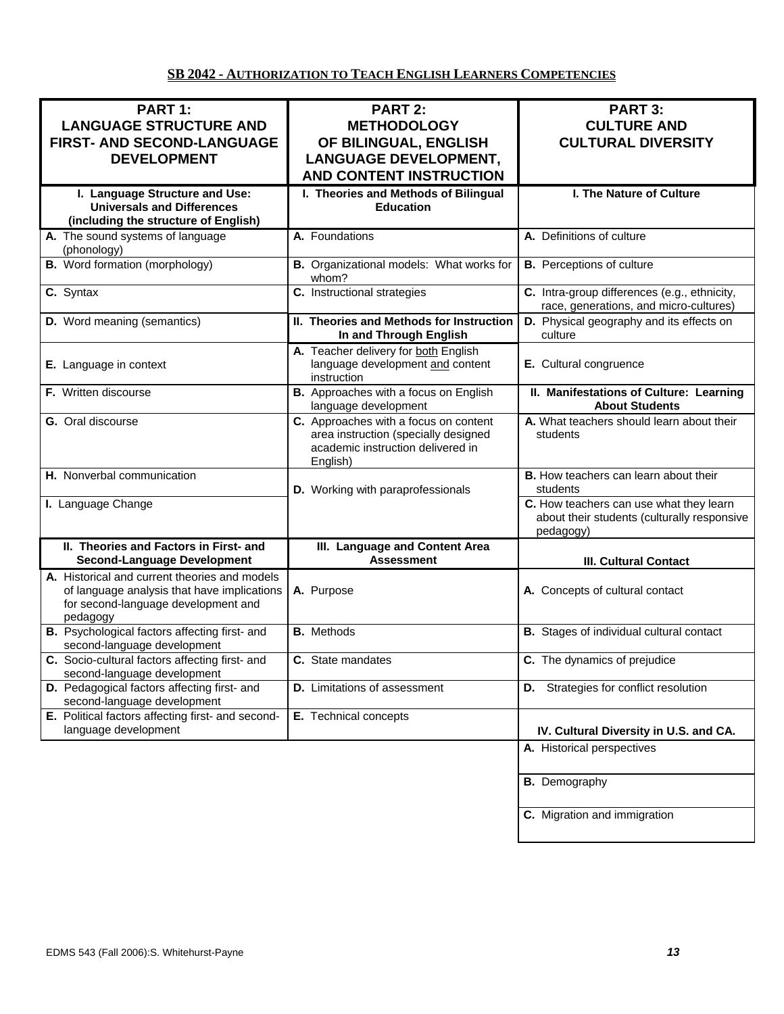# **SB 2042 - AUTHORIZATION TO TEACH ENGLISH LEARNERS COMPETENCIES**

| PART 1:<br><b>LANGUAGE STRUCTURE AND</b><br>FIRST- AND SECOND-LANGUAGE<br><b>DEVELOPMENT</b>                                                    | <b>PART 2:</b><br><b>METHODOLOGY</b><br>OF BILINGUAL, ENGLISH<br><b>LANGUAGE DEVELOPMENT,</b><br><b>AND CONTENT INSTRUCTION</b> | <b>PART 3:</b><br><b>CULTURE AND</b><br><b>CULTURAL DIVERSITY</b>                                   |
|-------------------------------------------------------------------------------------------------------------------------------------------------|---------------------------------------------------------------------------------------------------------------------------------|-----------------------------------------------------------------------------------------------------|
| I. Language Structure and Use:<br><b>Universals and Differences</b><br>(including the structure of English)                                     | I. Theories and Methods of Bilingual<br><b>Education</b>                                                                        | I. The Nature of Culture                                                                            |
| A. The sound systems of language<br>(phonology)                                                                                                 | A. Foundations                                                                                                                  | A. Definitions of culture                                                                           |
| <b>B.</b> Word formation (morphology)                                                                                                           | B. Organizational models: What works for<br>whom?                                                                               | <b>B.</b> Perceptions of culture                                                                    |
| C. Syntax                                                                                                                                       | C. Instructional strategies                                                                                                     | C. Intra-group differences (e.g., ethnicity,<br>race, generations, and micro-cultures)              |
| D. Word meaning (semantics)                                                                                                                     | II. Theories and Methods for Instruction<br>In and Through English                                                              | D. Physical geography and its effects on<br>culture                                                 |
| E. Language in context                                                                                                                          | A. Teacher delivery for both English<br>language development and content<br>instruction                                         | E. Cultural congruence                                                                              |
| F. Written discourse                                                                                                                            | B. Approaches with a focus on English<br>language development                                                                   | II. Manifestations of Culture: Learning<br><b>About Students</b>                                    |
| G. Oral discourse                                                                                                                               | C. Approaches with a focus on content<br>area instruction (specially designed<br>academic instruction delivered in<br>English)  | A. What teachers should learn about their<br>students                                               |
| H. Nonverbal communication                                                                                                                      | D. Working with paraprofessionals                                                                                               | B. How teachers can learn about their<br>students                                                   |
| I. Language Change                                                                                                                              |                                                                                                                                 | C. How teachers can use what they learn<br>about their students (culturally responsive<br>pedagogy) |
| II. Theories and Factors in First- and<br><b>Second-Language Development</b>                                                                    | III. Language and Content Area<br><b>Assessment</b>                                                                             | <b>III. Cultural Contact</b>                                                                        |
| A. Historical and current theories and models<br>of language analysis that have implications<br>for second-language development and<br>pedagogy | A. Purpose                                                                                                                      | A. Concepts of cultural contact                                                                     |
| B. Psychological factors affecting first- and<br>second-language development                                                                    | <b>B.</b> Methods                                                                                                               | <b>B.</b> Stages of individual cultural contact                                                     |
| C. Socio-cultural factors affecting first- and<br>second-language development                                                                   | C. State mandates                                                                                                               | C. The dynamics of prejudice                                                                        |
| D. Pedagogical factors affecting first- and<br>second-language development                                                                      | <b>D.</b> Limitations of assessment                                                                                             | <b>D.</b> Strategies for conflict resolution                                                        |
| E. Political factors affecting first- and second-<br>language development                                                                       | E. Technical concepts                                                                                                           | IV. Cultural Diversity in U.S. and CA.                                                              |
|                                                                                                                                                 |                                                                                                                                 | A. Historical perspectives                                                                          |
|                                                                                                                                                 |                                                                                                                                 | <b>B.</b> Demography                                                                                |
|                                                                                                                                                 |                                                                                                                                 | C. Migration and immigration                                                                        |